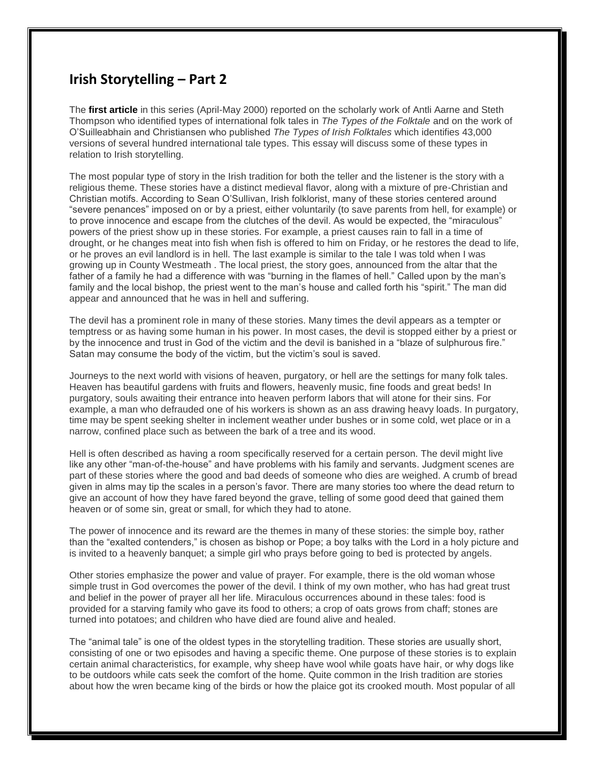## **Irish Storytelling – Part 2**

The **first article** in this series (April-May 2000) reported on the scholarly work of Antli Aarne and Steth Thompson who identified types of international folk tales in *The Types of the Folktale* and on the work of O'Suilleabhain and Christiansen who published *The Types of Irish Folktales* which identifies 43,000 versions of several hundred international tale types. This essay will discuss some of these types in relation to Irish storytelling.

The most popular type of story in the Irish tradition for both the teller and the listener is the story with a religious theme. These stories have a distinct medieval flavor, along with a mixture of pre-Christian and Christian motifs. According to Sean O'Sullivan, Irish folklorist, many of these stories centered around "severe penances" imposed on or by a priest, either voluntarily (to save parents from hell, for example) or to prove innocence and escape from the clutches of the devil. As would be expected, the "miraculous" powers of the priest show up in these stories. For example, a priest causes rain to fall in a time of drought, or he changes meat into fish when fish is offered to him on Friday, or he restores the dead to life, or he proves an evil landlord is in hell. The last example is similar to the tale I was told when I was growing up in County Westmeath . The local priest, the story goes, announced from the altar that the father of a family he had a difference with was "burning in the flames of hell." Called upon by the man's family and the local bishop, the priest went to the man's house and called forth his "spirit." The man did appear and announced that he was in hell and suffering.

The devil has a prominent role in many of these stories. Many times the devil appears as a tempter or temptress or as having some human in his power. In most cases, the devil is stopped either by a priest or by the innocence and trust in God of the victim and the devil is banished in a "blaze of sulphurous fire." Satan may consume the body of the victim, but the victim's soul is saved.

Journeys to the next world with visions of heaven, purgatory, or hell are the settings for many folk tales. Heaven has beautiful gardens with fruits and flowers, heavenly music, fine foods and great beds! In purgatory, souls awaiting their entrance into heaven perform labors that will atone for their sins. For example, a man who defrauded one of his workers is shown as an ass drawing heavy loads. In purgatory, time may be spent seeking shelter in inclement weather under bushes or in some cold, wet place or in a narrow, confined place such as between the bark of a tree and its wood.

Hell is often described as having a room specifically reserved for a certain person. The devil might live like any other "man-of-the-house" and have problems with his family and servants. Judgment scenes are part of these stories where the good and bad deeds of someone who dies are weighed. A crumb of bread given in alms may tip the scales in a person's favor. There are many stories too where the dead return to give an account of how they have fared beyond the grave, telling of some good deed that gained them heaven or of some sin, great or small, for which they had to atone.

The power of innocence and its reward are the themes in many of these stories: the simple boy, rather than the "exalted contenders," is chosen as bishop or Pope; a boy talks with the Lord in a holy picture and is invited to a heavenly banquet; a simple girl who prays before going to bed is protected by angels.

Other stories emphasize the power and value of prayer. For example, there is the old woman whose simple trust in God overcomes the power of the devil. I think of my own mother, who has had great trust and belief in the power of prayer all her life. Miraculous occurrences abound in these tales: food is provided for a starving family who gave its food to others; a crop of oats grows from chaff; stones are turned into potatoes; and children who have died are found alive and healed.

The "animal tale" is one of the oldest types in the storytelling tradition. These stories are usually short, consisting of one or two episodes and having a specific theme. One purpose of these stories is to explain certain animal characteristics, for example, why sheep have wool while goats have hair, or why dogs like to be outdoors while cats seek the comfort of the home. Quite common in the Irish tradition are stories about how the wren became king of the birds or how the plaice got its crooked mouth. Most popular of all